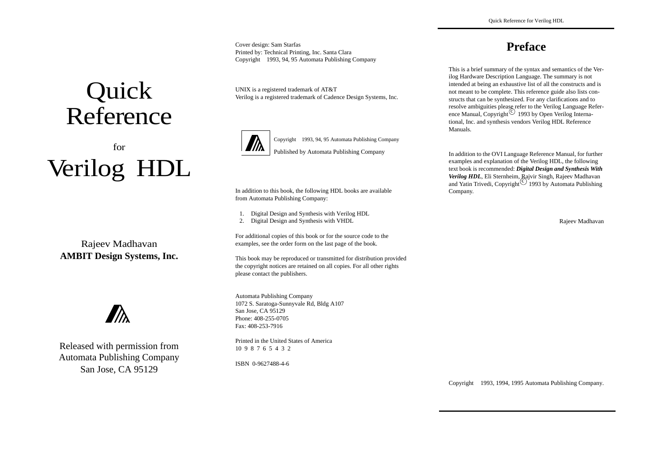Cover design: Sam Starfas Printed by: Technical Printing, Inc. Santa Clara Copyright ©1993, 94, 95 Automata Publishing Company

UNIX is a registered trademark of AT&T Verilog is a registered trademark of Cadence Design Systems, Inc.



Copyright ©1993, 94, 95 Automata Publishing Company Published by Automata Publishing Company

In addition to this book, the following HDL books are available from Automata Publishing Company:

- 1. Digital Design and Synthesis with Verilog HDL
- 2. Digital Design and Synthesis with VHDL

For additional copies of this book or for the source code to the examples, see the order form on the last page of the book.

This book may be reproduced or transmitted for distribution provided the copyright notices are retained on all copies. For all other rights please contact the publishers.

Automata Publishing Company 1072 S. Saratoga-Sunnyvale Rd, Bldg A107 San Jose, CA 95129 Phone: 408-255-0705Fax: 408-253-7916

Printed in the United States of America10 9 8 7 6 5 4 3 2

ISBN 0-9627488-4-6

**Preface**

This is a brief summary of the syntax and semantics of the Verilog Hardware Description Language. The summary is not intended at being an exhaustive list of all the constructs and is not meant to be complete. This reference guide also lists constructs that can be synthesized. For any clarifications and to resolve ambiguities please refer to the Verilog Language Reference Manual, Copyright<sup>(C)</sup> 1993 by Open Verilog International, Inc. and synthesis vendors Verilog HDL Reference Manuals.

In addition to the OVI Language Reference Manual, for further examples and explanation of the Verilog HDL, the following text book is recommended: *Digital Design and Synthesis With Verilog HDL*, Eli Sternheim, Rajvir Singh, Rajeev Madhavan and Yatin Trivedi, Copyright<sup>(C)</sup> 1993 by Automata Publishing Company.

Rajeev Madhavan

Copyright ©1993, 1994, 1995 Automata Publishing Company.

# Quick Reference

# forVerilog<sup>®</sup> HDL

Rajeev Madhavan **AMBIT Design Systems, Inc.**



Released with permission from Automata Publishing Company San Jose, CA 95129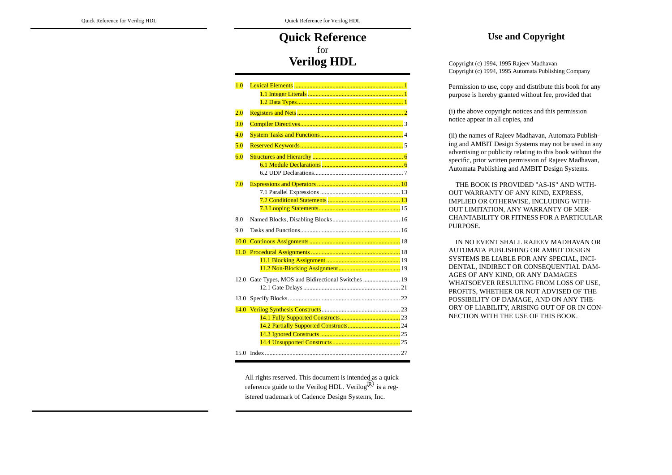# **Quick Reference** for**Verilog HDL**

| 2.0   |                                                     |
|-------|-----------------------------------------------------|
| 3.0   |                                                     |
| (4.0) |                                                     |
| 5.0   |                                                     |
| (6.0) |                                                     |
|       |                                                     |
|       |                                                     |
| 7.0   |                                                     |
|       |                                                     |
|       |                                                     |
|       |                                                     |
| 8.0   |                                                     |
| 9.0   |                                                     |
| 10.0  |                                                     |
| 11.0  |                                                     |
|       |                                                     |
|       |                                                     |
|       | 12.0 Gate Types, MOS and Bidirectional Switches  19 |
|       |                                                     |
|       |                                                     |
| 14.0  |                                                     |
|       |                                                     |
|       |                                                     |
|       |                                                     |
|       |                                                     |
|       |                                                     |

All rights reserved. This document is intended as a quick reference guide to the Verilog HDL. Verilog<sup>(R)</sup> is a registered trademark of Cadence Design Systems, Inc.

# **Use and Copyright**

Copyright (c) 1994, 1995 Rajeev Madhavan Copyright (c) 1994, 1995 Automata Publishing Company

Permission to use, copy and distribute this book for any purpose is hereby granted without fee, provided that

(i) the above copyright notices and this permission notice appear in all copies, and

(ii) the names of Rajeev Madhavan, Automata Publishing and AMBIT Design Systems may not be used in any advertising or publicity relating to this book without the specific, prior written permission of Rajeev Madhavan, Automata Publishing and AMBIT Design Systems.

 THE BOOK IS PROVIDED "AS-IS" AND WITH-OUT WARRANTY OF ANY KIND, EXPRESS, IMPLIED OR OTHERWISE, INCLUDING WITH-OUT LIMITATION, ANY WARRANTY OF MER-CHANTABILITY OR FITNESS FOR A PA RTICULAR PURPOSE.

 IN NO EVENT SHALL RAJEEV MADHAVAN OR AUTOMATA PUBLISHING OR AMBIT DESIGNSYSTEMS BE LIABLE FOR ANY SPECIAL, INCI-DENTAL, INDIRECT OR CONSEQUENTIAL DAM-AGES OF ANY KIND, OR ANY DAMAGES WHATSOEVER RESULTING FROM LOSS OF USE, PROFITS, WHETHER OR NOT ADVISED OF THE POSSIBILITY OF DAMAGE, AND ON ANY THE-ORY OF LIABILITY, ARISING OUT OF OR IN CON-NECTION WITH THE USE OF THIS BOOK.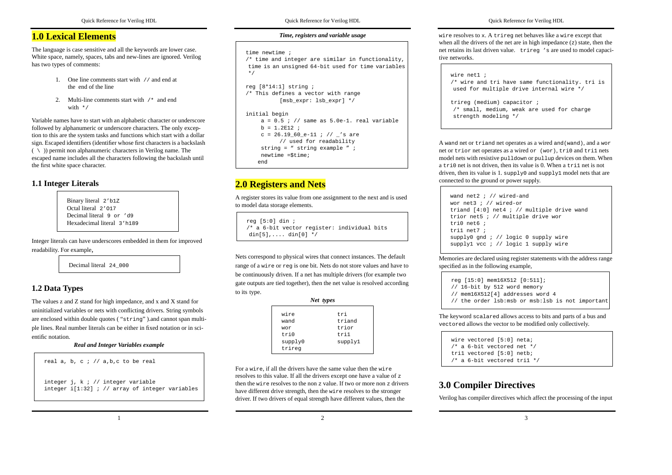## **1.0 Lexical Elements**

The language is case sensitive and all the keywords are lower case. White space, namely, spaces, tabs and new-lines are ignored. Verilog has two types of comments:

- 1. One line comments start with // and end at the end of the line
- 2. Multi-line comments start with /\* and end with  $*$  /

Variable names have to start with an alphabetic character or underscore followed by alphanumeric or underscore characters. The only exception to this are the system tasks and functions which start with a dollar sign. Escaped identifiers (identifier whose first characters is a backslash  $( \ \ \rangle$ ) permit non alphanumeric characters in Verilog name. The escaped name includes all the characters following the backslash until the first white space character.

## **1.1 Integer Literals**

Binary literal 2'b1Z Octal literal 2'O17Decimal literal 9 or 'd9Hexadecimal literal 3'h189

Integer literals can have underscores embedded in them for improved readability. For example,

Decimal literal 24\_000

# **1.2 Data Types**

The values z and Z stand for high impedance, and x and X stand for uninitialized variables or nets with conflicting drivers. String symbols are enclosed within double quotes ( "string" ).and cannot span multiple lines. Real number literals can be either in fixed notation or in scientific notation.

#### *Real and Integer Variables example*

```
real a, b, c ; // a,b,c to be real
integer j, k ; // integer variable
integer i[1:32] ; // array of integer variables
```
Quick Reference for Verilog HDL

#### *Time, registers and variable usage*

```
time newtime ;
```
 /\* time and integer are similar in functionality, time is an unsigned 64-bit used for time variables \*/

```
reg [8*14:1] string ;
/* This defines a vector with range
          [msb_expr: lsb_expr] */
```

```
initial begin
```

```
a = 0.5 ; // same as 5.0e-1. real variable
b = 1.2E12;
c = 26.19 60e-11 ; // 's are
      // used for readability
 string = " string example " ;
 newtime =$time;
end
```
# **2.0 Registers and Nets**

A register stores its value from one assignment to the next and is used to model data storage elements.

```
reg [5:0] din ;
/* a 6-bit vector register: individual bits
din[5],.... din[0] */
```
Nets correspond to physical wires that connect instances. The default range of a wire or reg is one bit. Nets do not store values and have to be continuously driven. If a net has multiple drivers (for example two gate outputs are tied together), then the net value is resolved according to its type.

|                   | Net types |
|-------------------|-----------|
| wire              | tri       |
| wand              | triand    |
| wor               | trior     |
| tri 0             | tri1      |
| supply0<br>trireq | supply1   |

For a wire, if all the drivers have the same value then the wire resolves to this value. If all the drivers except one have a value of <sup>z</sup> then the wire resolves to the non <sup>z</sup> value. If two or more non <sup>z</sup> drivers have different drive strength, then the wire resolves to the stronger driver. If two drivers of equal strength have different values, then the

2

Quick Reference for Verilog HDL

wire resolves to <sup>x</sup>. A trireg net behaves like a wire except that when all the drivers of the net are in high impedance  $(z)$  state, then the net retains its last driven value. trireg 's are used to model capacitive networks.

```
wire net1 ;/* wire and tri have same functionality. tri is
used for multiple drive internal wire */
trireg (medium) capacitor ;
/* small, medium, weak are used for charge
strength modeling */
```
A wand net or triand net operates as a wired and(wand), and a wor net or trior net operates as a wired or (wor), tri0 and tri1 nets model nets with resistive pulldown or pullup devices on them. When a tri0 net is not driven, then its value is 0. When a tri1 net is not driven, then its value is 1. supply0 and supply1 model nets that are connected to the ground or power supply.

```
wand net2 ; // wired-and
wor net3 ; // wired-ortriand [4:0] net4 ; // multiple drive wand
trior net5 ; // multiple drive wor
tri0 net6 ;tri1 net7 ;
supply0 gnd ; // logic 0 supply wire
supply1 vcc ; // logic 1 supply wire
```
Memories are declared using register statements with the address range specified as in the following example,

```
reg [15:0] mem16X512 [0:511];
// 16-bit by 512 word memory
// mem16X512[4] addresses word 4// the order lsb:msb or msb:lsb is not important
```
The keyword scalared allows access to bits and parts of a bus and vectored allows the vector to be modified only collectively.

```
wire vectored [5:0] neta;/* a 6-bit vectored net */tri1 vectored [5:0] netb;/* a 6-bit vectored tri1 */
```
# **3.0 Compiler Directives**

Verilog has compiler directives which affect the processing of the input

1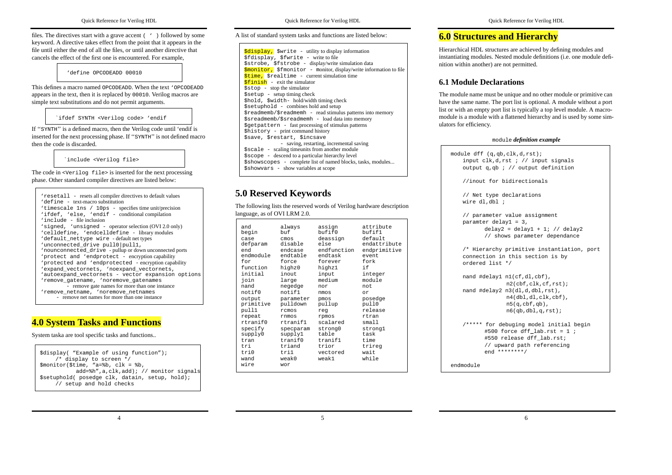files. The directives start with a grave accent ( ' ) followed by some keyword. A directive takes effect from the point that it appears in the file until either the end of all the files, or until another directive that cancels the effect of the first one is encountered. For example,

'define OPCODEADD 00010

This defines a macro named OPCODEADD. When the text 'OPCODEADDappears in the text, then it is replaced by <sup>00010</sup>. Verilog macros are simple text substitutions and do not permit arguments.

`ifdef SYNTH <Verilog code> 'endif

If ''SYNTH'' is a defined macro, then the Verilog code until 'endif is inserted for the next processing phase. If ''SYNTH'' is not defined macro then the code is discarded.

`include <Verilog file>

The code in <Verilog file> is inserted for the next processing phase. Other standard compiler directives are listed below:

| 'resetall - resets all compiler directives to default values<br>'define - text-macro substitution<br>'timescale 1ns / 10ps - specifies time unit/precision<br>'ifdef, 'else, 'endif - conditional compilation |
|---------------------------------------------------------------------------------------------------------------------------------------------------------------------------------------------------------------|
| 'include - file inclusion                                                                                                                                                                                     |
| 'signed, 'unsigned - operator selection (OVI 2.0 only)                                                                                                                                                        |
| 'celldefine, 'endcelldefine - library modules                                                                                                                                                                 |
| 'default_nettype wire - default net types                                                                                                                                                                     |
| 'unconnected drive pull0 pull1,<br>'nounconnected_drive - pullup or down unconnected ports<br>'protect and 'endprotect - encryption capability                                                                |
| 'protected and 'endprotected - encryption capability                                                                                                                                                          |
| 'expand vectornets, 'noexpand vectornets,                                                                                                                                                                     |
| 'autoexpand vectornets - vector expansion options                                                                                                                                                             |
| 'remove gatename, 'noremove gatenames<br>- remove gate names for more than one instance                                                                                                                       |
| 'remove_netname, 'noremove_netnames<br>- remove net names for more than one instance                                                                                                                          |
|                                                                                                                                                                                                               |

# **4.0 System Tasks and Functions**

System taska are tool specific tasks and functions..

\$display( "Example of using function"); /\* display to screen \*/ \$monitor(\$time, "a=%b, clk = %b, add=%h",a,clk,add); // monitor signals \$setuphold( posedge clk, datain, setup, hold); // setup and hold checks

A list of standard system tasks and functions are listed below:

 $$display$ ,  $$$ \$fdisplay, \$fwrite - write to file \$strobe, \$fstrobe - display/write simulation data  $\frac{1}{2}$ \$fmonitor - monitor, display/write information to file \$time, \$realtime - current simulation time  $5$ finish - exit the simulator  $\frac{1}{5}$  stop  $\frac{1}{5}$  stop the simulator \$setup - setup timing check \$hold, \$width- hold/width timing check  $$setuphold - combines hold and setup$  $\frac{1}{2}$  readmemb/ $\frac{1}{2}$ readmemb - read stimulus patterns into memory \$sreadmemb/\$sreadmemh - load data into memory \$getpattern - fast processing of stimulus patterns \$history - print command history \$save, \$restart, \$incsave - saving, restarting, incremental saving \$scale - scaling timeunits from another module \$scope - descend to a particular hierarchy level \$showscopes - complete list of named blocks, tasks, modules... \$showvars - show variables at scope

# **5.0 Reserved Keywords**

The following lists the reserved words of Verilog hardware description language, as of OVI LRM 2.0.

| and<br>begin | always<br>h <sub>11</sub> f | assign<br>$h$ ufif $0$ | attribute<br>bufif1 |
|--------------|-----------------------------|------------------------|---------------------|
|              |                             |                        | default             |
| case         | cmos<br>disable             | deassign<br>else       | endattribute        |
| defparam     |                             |                        |                     |
| end          | endcase                     | endfunction            | endprimitive        |
| endmodule    | endtable                    | endtask                | event.              |
| for          | force                       | forever                | fork                |
| function     | highz0                      | highzl                 | i f                 |
| initial      | inout                       | input                  | integer             |
| join         | large                       | medium                 | module              |
| nand         | negedge                     | nor                    | not.                |
| notif0       | notif1                      | nmos                   | or                  |
| output       | parameter                   | pmos                   | posedge             |
| primitive    | pulldown                    | pullup                 | pull0               |
| pull1        | rcmos                       | req                    | release             |
| repeat       | rnmos                       | rpmos                  | rtran               |
| rtranif0     | rtranif1                    | scalared               | small               |
| specify      | specparam                   | strong0                | strongl             |
| supply0      | supply1                     | table                  | task                |
| tran         | tranif0                     | tranif1                | time                |
| tri          | triand                      | trior                  | trireq              |
| tri0         | tri1                        | vectored               | wait                |
| wand         | weak0                       | weak1                  | while               |
| wire         | wor                         |                        |                     |
|              |                             |                        |                     |

# **6.0 Structures and Hierarchy**

Hierarchical HDL structures are achieved by defining modules and instantiating modules. Nested module definitions (i.e. one module definition within another) are not permitted.

# **6.1 Module Declarations**

The module name must be unique and no other module or primitive can have the same name. The port list is optional. A module without a port list or with an empty port list is typically a top level module. A macromodule is a module with a flattened hierarchy and is used by some simulators for efficiency.

#### module *definition example*

module dff (q,qb,clk,d,rst); input clk,d,rst ; // input signals output q,qb ; // output definition //inout for bidirectionals// Net type declarations wire dl,dbl ; // parameter value assignment paramter delay1 = 3, delay2 = delay1 + 1;  $//$  delay2 // shows parameter dependance /\* Hierarchy primitive instantiation, port connection in this section is by ordered list \*/nand #delay1 n1(cf,dl,cbf), n2(cbf,clk,cf,rst); nand #delay2 n3(dl,d,dbl,rst), n4(dbl,dl,clk,cbf),  $n5(q, cbf, qb)$ , n6(qb,dbl,q,rst); /\*\*\*\*\* for debuging model initial begin #500 force dff\_lab.rst = 1 ; #550 release dff\_lab.rst; // upward path referencing end \*\*\*\*\*\*\*\*/endmodule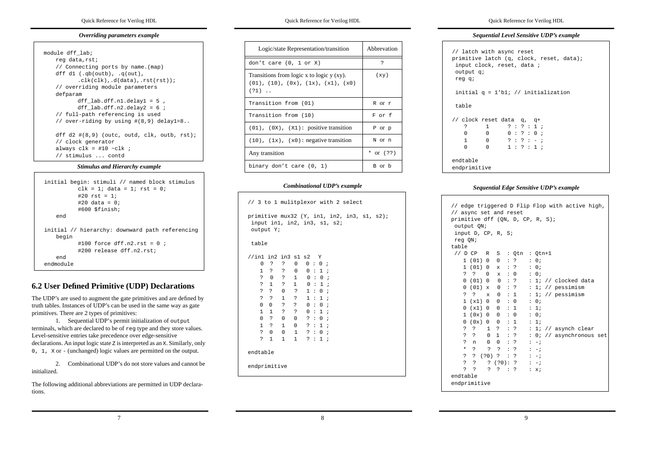#### *Overriding parameters example*

| module dff lab;                                |
|------------------------------------------------|
| reg data, rst;                                 |
| // Connecting ports by name. (map)             |
| dff dl $( .q b(outh) , .q(out) ,$              |
| $clk(clk)$ . $d(data)$ rst(rst));              |
| // overriding module parameters                |
| defparam                                       |
| dff $lab.dff.n1.delay1 = 5$ ,                  |
| dff lab.dff.n2.delay2 = $6$ ;                  |
| // full-path referencing is used               |
| // over-riding by using #(8,9) delay1=8        |
| dff d2 $\#(8,9)$ (outc, outd, clk, outb, rst); |
| // clock generator                             |
| always clk = #10 ~clk ;                        |
| // stimulus  contd                             |

#### *Stimulus and Hierarchy example*

```
initial begin: stimuli // named block stimulus
          clk = 1; data = 1; rst = 0;#20 rst = 1;
          #20 data = 0;#600 $finish;
    end
initial // hierarchy: downward path referencing
   begin
          #100 force dff.n2.rst = 0 ;
          #200 release dff.n2.rst;endendmodule
```
# **6.2 User Defined Primitive (UDP) Declarations**

The UDP's are used to augment the gate primitives and are defined by truth tables. Instances of UDP's can be used in the same way as gate primitives. There are 2 types of primitives:

1. Sequential UDP's permit initialization of output terminals, which are declared to be of reg type and they store values. Level-sensitive entries take precedence over edge-sensitive declarations. An input logic state <sup>Z</sup> is interpreted as an <sup>X</sup>. Similarly, only 0, 1, X or - (unchanged) logic values are permitted on the output.

2. Combinational UDP's do not store values and cannot beinitialized.

The following additional abbreviations are permitted in UDP declarations.

Quick Reference for Verilog HDL

| Logic/state Representation/transition                                                                          | Abbrevation |
|----------------------------------------------------------------------------------------------------------------|-------------|
| don't care $(0, 1$ or X)                                                                                       | Ċ.          |
| Transitions from logic x to logic $y$ (xy).<br>$(01)$ , $(10)$ , $(0x)$ , $(1x)$ , $(x1)$ , $(x0)$<br>$(21)$ . | (xy)        |
| Transition from (01)                                                                                           | R or r      |
| Transition from (10)                                                                                           | F or f      |
| $(01)$ , $(0x)$ , $(x1)$ : positive transition                                                                 | P or p      |
| $(10)$ , $(1x)$ , $(x0)$ : negative transition                                                                 | N Or n      |
| Any transition                                                                                                 | * or $(?)$  |
| binary don't care (0, 1)                                                                                       | B or b      |

#### *Combinational UDP's example*

| // 3 to 1 mulitplexor with 2 select                                                      |                      |                      |                |   |  |            |         |  |  |
|------------------------------------------------------------------------------------------|----------------------|----------------------|----------------|---|--|------------|---------|--|--|
| primitive mux32 (Y, in1, in2, in3, s1, s2);<br>input in1, in2, in3, s1, s2;<br>output Y; |                      |                      |                |   |  |            |         |  |  |
| table                                                                                    |                      |                      |                |   |  |            |         |  |  |
| //in1 in2 in3 s1 s2 Y                                                                    |                      |                      |                |   |  |            |         |  |  |
| 0                                                                                        | $\ddot{\phantom{0}}$ | ?                    | 0              |   |  | 0:0;       |         |  |  |
|                                                                                          | $1 \quad ?$          | ?                    | $\Omega$       |   |  | 0:1;       |         |  |  |
|                                                                                          | $\overline{?}$ 0     | $\ddot{\phantom{0}}$ | $1 \quad$      |   |  | 0:0        | $\cdot$ |  |  |
|                                                                                          | ? 1                  | $\overline{?}$       | $1 \quad$      | 0 |  | $\cdot$ 1; |         |  |  |
|                                                                                          | $?$ ?                | $\mathbf{0}$         | $\ddot{?}$     |   |  | 1:0;       |         |  |  |
|                                                                                          | $?$ ?                | $\mathbf{1}$         | $\ddot{?}$     |   |  | 1:1:       |         |  |  |
| $\Omega$                                                                                 | $\Omega$             | $\ddot{?}$           | $\ddot{?}$     |   |  | 0:0;       |         |  |  |
|                                                                                          | $1\quad1$            | ?                    | $\overline{?}$ |   |  | 0:1;       |         |  |  |
|                                                                                          | 0 <sup>2</sup>       | $\overline{0}$       | $\Omega$       |   |  | ? : 0;     |         |  |  |
|                                                                                          | $1 \quad ?$          | 1                    | $\Omega$       |   |  | ? : 1 ;    |         |  |  |
|                                                                                          | $\overline{?}$ 0     | $\Omega$             | $\mathbf{1}$   |   |  | ? : 0;     |         |  |  |
| $\overline{?}$                                                                           | $\mathbf{1}$         | 1                    | $\mathbf{1}$   |   |  | ? : 1;     |         |  |  |
| endtable                                                                                 |                      |                      |                |   |  |            |         |  |  |
| endprimitive                                                                             |                      |                      |                |   |  |            |         |  |  |

#### Quick Reference for Verilog HDL

#### *Sequential Level Sensitive UDP's example*

```
// latch with async reset
primitive latch (q, clock, reset, data);
  input clock, reset, data ;
  output q;
 reg q;
 initial q = 1'b1; // initialization
  table// clock reset data q, q+
   ? 1 ? : ? : 1 ;
   \Omega 0 0 : ? : 0 ;
   1 0 ? : ? : - ;
   \Omega 0 1 : ? : 1 ;
endtable
endprimitive
```
#### *Sequential Edge Sensitive UDP's example*

| // async set and reset                 |                        |                                        |                           |                      |                           | // edge triggered D Flip Flop with active high, |
|----------------------------------------|------------------------|----------------------------------------|---------------------------|----------------------|---------------------------|-------------------------------------------------|
| primitive dff (QN, D, CP, R, S);       |                        |                                        |                           |                      |                           |                                                 |
| output ON;                             |                        |                                        |                           |                      |                           |                                                 |
| input D, CP, R, S;                     |                        |                                        |                           |                      |                           |                                                 |
| reg ON;                                |                        |                                        |                           |                      |                           |                                                 |
| table                                  |                        |                                        |                           |                      |                           |                                                 |
| $1/$ D CP                              | R                      |                                        |                           | S : Qtn              |                           | $: Qtn+1$                                       |
|                                        | 1(01)0                 | $\Omega$                               | $\mathbb{R}^n$            | $\overline{?}$       |                           | : 0:                                            |
| $\mathbf{1}$                           | (01)<br>$\overline{0}$ | $\mathbf{x}$                           |                           | $:$ ?                |                           | : 0:                                            |
| S.<br>- ?                              | $\Omega$               | x : 0                                  |                           |                      |                           | : 0i                                            |
|                                        | 0(01)0                 | 0:?                                    |                           |                      |                           | // clocked data<br>: 1i                         |
| 0                                      | (01)                   |                                        |                           |                      |                           | // pessimism<br>1i                              |
|                                        | $\mathbf{x}$           | 0:                                     |                           | ?                    | $\mathbb{Z}^{\mathbb{Z}}$ |                                                 |
| 2<br>$\cdot$ ?                         | $\mathbf{x}$           | 0<br>$\cdots$ 1                        |                           |                      |                           | : $1:$ // pessimism                             |
|                                        | 1(x1)0                 | $\Omega$                               | $\mathbf{r}$              | $\mathbf 0$          |                           | : 0:                                            |
| $\Omega$                               | $(x1)$ 0               | $\Omega$                               |                           | $\cdot$ 1            |                           | : 1:                                            |
| 1                                      | (0x)<br>$\overline{0}$ | 0                                      |                           | : 0                  |                           | : 0i                                            |
| 0                                      | (0x)<br>$\Omega$       | $\Omega$                               |                           | $\cdot$ 1            |                           | : 1;                                            |
| $\ddot{\phantom{0}}$<br>$\overline{?}$ | $\mathbf{1}$           | $\overline{?}$                         |                           | $\therefore$ ?       |                           | // asynch clear<br>: 1i                         |
| $\overline{P}$<br>$\overline{P}$       | $\Omega$               | $\mathbf{1}$                           | $\ddot{\phantom{a}}$      | $\ddot{\phantom{0}}$ |                           | : 0;<br>// asynchronous set                     |
| $\mathbf{P}$<br>n                      | $\Omega$               | $\Omega$                               | $\mathbb{R}^{\mathbb{Z}}$ | $\overline{?}$       |                           | $: -i$                                          |
| $\star$<br>$\overline{P}$              | S.                     | $\overline{P}$                         | $\mathbb{Z}^{\mathbb{Z}}$ | $\overline{?}$       |                           | $: -;$                                          |
| $\ddot{ }$<br>2                        | $(20)$ ? :             |                                        |                           | $\ddot{\phantom{0}}$ |                           | $: -i$                                          |
| Ċ.<br><sup>2</sup>                     | 2                      | (20):?                                 |                           |                      |                           | $\frac{1}{2}$ - $\frac{1}{2}$                   |
| Ċ.<br>Ċ.                               | S.                     | $\ddot{\phantom{0}}$<br>$\therefore$ ? |                           |                      | $\mathbb{Z}^{\mathbb{Z}}$ | $\mathbf{x}$ ;                                  |
| endtable                               |                        |                                        |                           |                      |                           |                                                 |
| endprimitive                           |                        |                                        |                           |                      |                           |                                                 |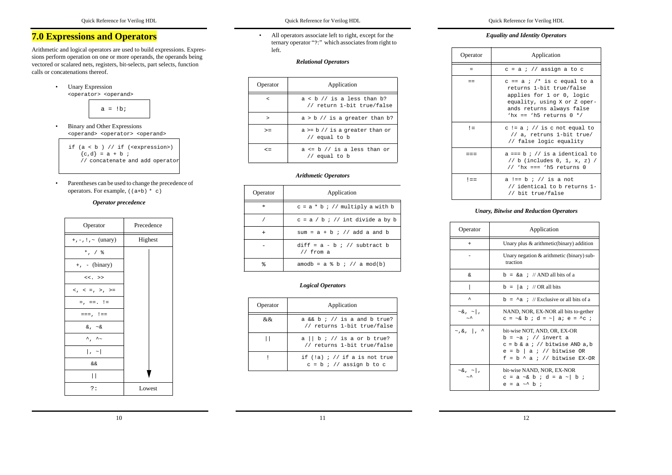# **7.0 Expressions and Operators**

Arithmetic and logical operators are used to build expressions. Expressions perform operation on one or more operands, the operands being vectored or scalared nets, registers, bit-selects, part selects, function calls or concatenations thereof.



• Binary and Other Expressions <operand> <operator> <operand>

if (a < b ) // if (<expression>)  ${c,d} = a + b$  ; // concatenate and add operator

• Parentheses can be used to change the precedence of operators. For example,  $((a+b) * c)$ 

#### *Operator precedence*

| Precedence |
|------------|
| Highest    |
|            |
|            |
|            |
|            |
|            |
|            |
|            |
|            |
|            |
|            |
|            |
| Lowest     |
|            |

• All operators associate left to right, except for the ternary operator "?:" which associates from right to left.

#### *Relational Operators*

| Operator   | Application                                                |  |  |  |  |  |
|------------|------------------------------------------------------------|--|--|--|--|--|
| $\,<\,$    | $a < b$ // is a less than b?<br>// return 1-bit true/false |  |  |  |  |  |
| >          | $a > b$ // is a greater than b?                            |  |  |  |  |  |
| $>=$       | $a \ge b$ // is a greater than or<br>$//$ equal to b       |  |  |  |  |  |
| $\leq$ $=$ | $a \leq b$ // is a less than or<br>// equal to b           |  |  |  |  |  |

#### *Arithmetic Operators*

| Operator | Application                                   |  |  |  |  |  |  |
|----------|-----------------------------------------------|--|--|--|--|--|--|
| $\ast$   | $c = a * b : // multiply a with b$            |  |  |  |  |  |  |
|          | $c = a / b : //$ int divide a by b            |  |  |  |  |  |  |
|          | sum = $a + b$ ; // add a and b                |  |  |  |  |  |  |
|          | $diff = a - b$ ; // subtract b<br>$//$ from a |  |  |  |  |  |  |
|          | amodb = $a \& b \; ; \; // \; a \; mod(b)$    |  |  |  |  |  |  |

## *Logical Operators*

| Operator | Application                                                                        |  |  |  |  |  |
|----------|------------------------------------------------------------------------------------|--|--|--|--|--|
| &&       | $a \& b \; i \; // \; is \; a \; and \; b \; true?$<br>// returns 1-bit true/false |  |  |  |  |  |
|          | $a \mid b \mid l$ is a or b true?<br>// returns 1-bit true/false                   |  |  |  |  |  |
|          | if $(!a)$ ; $//$ if a is not true<br>$c = b$ ; // assign b to c                    |  |  |  |  |  |

#### Quick Reference for Verilog HDL

### *Equality and Identity Operators*

| Operator | Application                                                                                                                                                                        |  |  |  |
|----------|------------------------------------------------------------------------------------------------------------------------------------------------------------------------------------|--|--|--|
| =        | $c = a$ ; // assign a to c                                                                                                                                                         |  |  |  |
| ==       | $c == a$ ; $/*$ is c equal to a<br>returns 1-bit true/false<br>applies for 1 or 0, logic<br>equality, using X or Z oper-<br>ands returns always false<br>'hx == 'h5 returns $0$ */ |  |  |  |
| $!=$     | $c := a : // is c not equal to$<br>// a, retruns 1-bit true/<br>// false logic equality                                                                                            |  |  |  |
|          | $a == b$ ; // is a identical to<br>// b (includes 0, 1, x, z) /<br>// 'hx === 'h5 returns 0                                                                                        |  |  |  |
| $!=$     | $a := b : // is a not$<br>// identical to b returns 1-<br>// bit true/false                                                                                                        |  |  |  |

### *Unary, Bitwise and Reduction Operators*

| Operator                       | Application                                                                                                                                                       |  |  |  |
|--------------------------------|-------------------------------------------------------------------------------------------------------------------------------------------------------------------|--|--|--|
| $+$                            | Unary plus $\&$ arithmetic (binary) addition                                                                                                                      |  |  |  |
|                                | Unary negation $&$ arithmetic (binary) sub-<br>traction                                                                                                           |  |  |  |
| s.                             | $b = \kappa a$ ; // AND all bits of a                                                                                                                             |  |  |  |
|                                | $b =  a : // OR all bits$                                                                                                                                         |  |  |  |
| ᄉ                              | $b = \Delta a$ : // Exclusive or all bits of a                                                                                                                    |  |  |  |
| $\sim \& , \sim   ,$<br>$\sim$ | NAND, NOR, EX-NOR all bits to-gether<br>$c = -\& b : d = -   a : e = -c :$                                                                                        |  |  |  |
| $\sim$ , &,  , ^               | bit-wise NOT, AND, OR, EX-OR<br>b = ~a ; // invert a<br>$c = b$ & a ; // bitwise AND a, b<br>$e = b \mid a : //$ bitwise OR<br>$f = b \land a$ ; // bitwise EX-OR |  |  |  |
| $\sim \& , \sim   ,$           | bit-wise NAND, NOR, EX-NOR<br>c = a ~& b ; d = a ~  b ;<br>$e = a \sim b$ ;                                                                                       |  |  |  |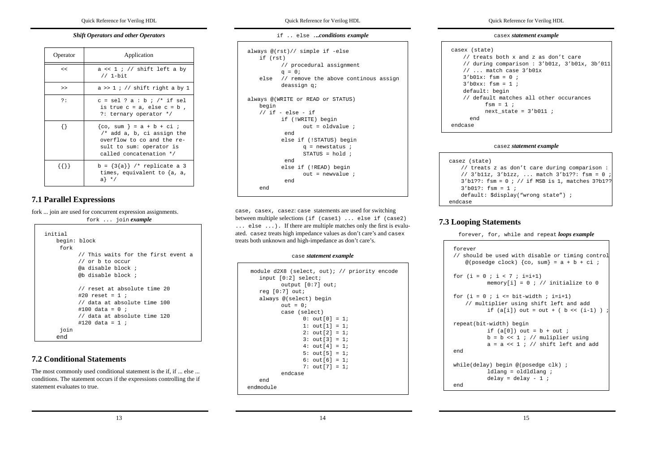#### *Shift Operators and other Operators*

| Operator    | Application                                                                                                                                    |  |  |
|-------------|------------------------------------------------------------------------------------------------------------------------------------------------|--|--|
| <<          | $a \ll 1$ ; // shift left a by<br>$1/1$ -bit                                                                                                   |  |  |
| >           | $a \gg 1$ ; // shift right a by 1                                                                                                              |  |  |
| ?:          | $c = sel$ ? a : b ; /* if sel<br>is true $c = a$ , else $c = b$ ,<br>?: ternary operator */                                                    |  |  |
| $\{\}$      | ${co, sum} = a + b + ci;$<br>$/*$ add a, b, ci assign the<br>overflow to co and the re-<br>sult to sum: operator is<br>called concatenation */ |  |  |
| ${\{ \} \}$ | b = $\{3\{a\}\}\$ /* replicate a 3<br>times, equivalent to $\{a, a, \}$<br>$a \nightharpoonup'$                                                |  |  |

# **7.1 Parallel Expressions**

fork ... join are used for concurrent expression assignments.

fork ... join *example*

| initial<br>begin: block<br>fork |                                                                                                                                                       |
|---------------------------------|-------------------------------------------------------------------------------------------------------------------------------------------------------|
|                                 | // This waits for the first event a<br>// or b to occur<br>@a disable block ;<br>@b disable block ;                                                   |
|                                 | // reset at absolute time 20<br>#20 reset = 1 ;<br>// data at absolute time 100<br>#100 data = 0 ;<br>// data at absolute time 120<br>#120 data = 1 ; |
| join                            |                                                                                                                                                       |
| end                             |                                                                                                                                                       |

## **7.2 Conditional Statements**

The most commonly used conditional statement is the if, if ... else ... conditions. The statement occurs if the expressions controlling the if statement evaluates to true.

Quick Reference for Verilog HDL

if .. else .*..conditions example*

```
always @(rst)// simple if -else
   if (rst)
          // procedural assignment
          q = 0;else // remove the above continous assign
          deassign q;
always @(WRITE or READ or STATUS)
   begin
   1/ if - else - if
          if (!WRITE) begin
                 out = oldvalue ; endelse if (!STATUS) begin
                q = newstatus ;
                 STATUS = hold ;
            endelse if (!READ) begin
                 out = newvalue ; endend
```
case, casex, casez: case statements are used for switching between multiple selections (if (case1) ... else if (case2) ... else ...). If there are multiple matches only the first is evaluated. casez treats high impedance values as don't care's and casex treats both unknown and high-impedance as don't care's.

#### case *statement example*

| module d2X8 (select, out); // priority encode<br>input $[0:2]$ select; |
|------------------------------------------------------------------------|
| output $[0:7]$ out;                                                    |
| req[0:7] out;                                                          |
| always @(select) begin                                                 |
| $out = 0$                                                              |
| case (select)                                                          |
| 0: $out[0] = 1$                                                        |
| 1: $out[1] = 1$ ;                                                      |
| $2: out[2] = 1;$                                                       |
| $3: out[3] = 1;$                                                       |
| $4: out[4] = 1;$                                                       |
| 5: $out[5] = 1$ ;                                                      |
| $6: out[6] = 1;$                                                       |
| 7: $out[7] = 1;$                                                       |
| endcase                                                                |
| end                                                                    |
| endmodule                                                              |

Quick Reference for Verilog HDL

#### casex *statement example*

```
casex (state)
   // treats both x and z as don't care// during comparison : 3'b01z, 3'b01x, 3b'011
    // ... match case 3'b01x
   3'b01x: fsm = 0 ;
   3'b0xx: fsm = 1 ;
   default: begin
    // default matches all other occurances
          fem = 1 ;
           next state = 3'b011 ;
      endendcase
```
#### casez *statement example*

```
casez (state)
   // treats z as don't care during comparison :
   // 3'b11z, 3'b1zz, ... match 3'b1??: fsm = 0
   3'b1??: fsm = 0 ; // if MSB is 1, matches 3?b1??
   3'b01?: fsm = 1 ;default: $display("wrong state") ;
endcase
```
## **7.3 Looping Statements**

forever, for, while and repeat *loops example*

```
forever// should be used with disable or timing control
   @(posedge clock) {co, sum} = a + b + ci;
for (i = 0 ; i < 7 ; i=i+1)memory[i] = 0 ; // initialize to 0for (i = 0 i i \leq bit-width i i=i+1)// multiplier using shift left and add
          if (a[i]) out = out + ( b \ll (i-1) )
repeat(bit-width) begin
          if (a[0]) out = b + out ;
          b = b \ll 1 ; // muliplier using
          a = a << 1 ; // shift left and add
endwhile(delay) begin @(posedge clk) ;
          ldlang = oldldlang ;
          delay = delay - 1 ;
end
```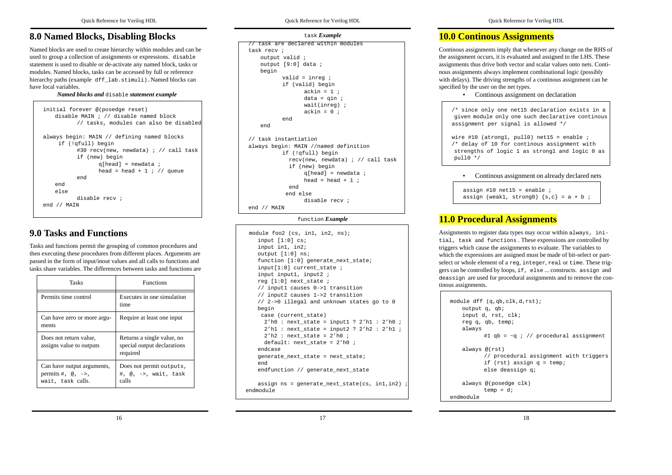# **8.0 Named Blocks, Disabling Blocks**

Named blocks are used to create hierarchy within modules and can be used to group a collection of assignments or expressions. disable statement is used to disable or de-activate any named block, tasks or modules. Named blocks, tasks can be accessed by full or reference hierarchy paths (example dff lab.stimuli). Named blocks can have local variables.

*Named blocks and* disable *statement example*

```
initial forever @(posedge reset)
   disable MAIN ; // disable named block// tasks, modules can also be disabled
always begin: MAIN // defining named blocks
    if (!qfull) begin
          #30 recv(new, newdata) ; // call task
          if (new) begin
                q[head] = newdata ;
                head = head + 1 ; // queue
          endendelsedisable recv ;end // MAIN
```
# **9.0 Tasks and Functions**

Tasks and functions permit the grouping of common procedures and then executing these procedures from different places. Arguments are passed in the form of input/inout values and all calls to functions and tasks share variables. The differences between tasks and functions are

| Tasks                                                                                        | <b>Functions</b>                                                      |  |
|----------------------------------------------------------------------------------------------|-----------------------------------------------------------------------|--|
| Permits time control                                                                         | Executes in one simulation<br>time                                    |  |
| Can have zero or more argu-<br>ments                                                         | Require at least one input                                            |  |
| Does not return value.<br>assigns value to outputs                                           | Returns a single value, no<br>special output declarations<br>required |  |
| Can have output arguments,<br>permits $\#$ , $\omega$ , $\rightarrow$ ,<br>wait, task calls. | Does not permit outputs,<br>#, @, ->, wait, task<br>calls             |  |

Quick Reference for Verilog HDL

```
task Example
```

```
// task are declared within modulestask recv ;output valid ;
   output [9:0] data ;
   begin
          valid = inreq iif (valid) begin
                ackin = 1 ;
                data = qin;
                wait(inreg) ;
                ackin = 0 ;
          endend// task instantiation
always begin: MAIN //named definition
          if (!qfull) begin
            recv(new, newdata) ; // call task
            if (new) begin
                q[head] = newdata ;
                head = head + 1 iend end elsedisable recv ;end // MAIN
```
### function *Example*

```
 module foo2 (cs, in1, in2, ns);
   input [1:0] cs;
   input in1, in2;
   output [1:0] ns;
   function [1:0] generate_next_state;
   input[1:0] current state ;
   input input1, input2 ;
   reg [1:0] next_state ;
   // input1 causes 0->1 transition
   // input2 causes 1->2 transition
   // 2->0 illegal and unknown states go to 0
   begin
     case (current_state)
      2'h0 : next_state = input1 ? 2'h1 : 2'h0 ;
      2'h1 : next_state = input2 ? 2'h2 : 2'h1 ;
     2'h2 : next state = 2'h0 ;
     default: next state = 2'h0 ;
   endcasegenerate_next_state = next_state;
   endendfunction // generate next state
   assign ns = generate next state(cs, in1, in2)
endmodule
```
17

# **10.0 Continous Assignments**

Continous assignments imply that whenever any change on the RHS of the assignment occurs, it is evaluated and assigned to the LHS. These assignments thus drive both vector and scalar values onto nets. Continous assignments always implement combinational logic (possibly with delays). The driving strengths of a continous assignment can be specified by the user on the net types.

```
• Continous assignment on declaration
```
/\* since only one net15 declaration exists in a given module only one such declarative continous assignment per signal is allowed \*/

wire #10 (atrong1, pull0) net15 = enable ; /\* delay of 10 for continous assignment with strengths of logic 1 as strong1 and logic 0 as pull0 \*/

### • Continous assignment on already declared nets

```
assign #10 net15 = enable iassign (weak1, strong0) \{s,c\} = a + b ;
```
# **11.0 Procedural Assignments**

Assignments to register data types may occur within always, initial, task and functions . These expressions are controlled by triggers which cause the assignments to evaluate. The variables to which the expressions are assigned must be made of bit-select or partselect or whole element of a reg, integer, real or time. These triggers can be controlled by loops, if, else ... constructs. assign and deassign are used for procedural assignments and to remove the continous assignments.

```
module dff (q,qb,clk,d,rst);
   output q, qb;
   input d, rst, clk;
   reg q, qb, temp;
   always
          #1 qb = \sim q ; // procedural assignment
   always @(rst)
          // procedural assignment with triggers
          if (rst) assign q = temp;
          else deassign q;
   always @(posedge clk)
          temp = diendmodule
```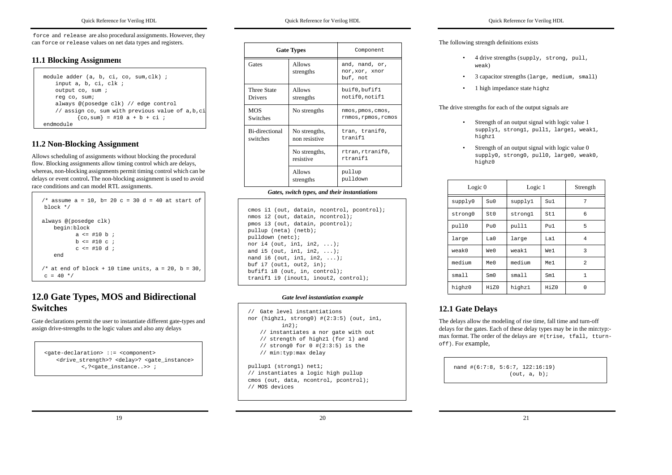force and release are also procedural assignments. However, they can force or release values on net data types and registers.

## **11.1 Blocking Assignment**

| module adder (a, b, ci, co, sum, clk);            |
|---------------------------------------------------|
| input a, b, ci, clk ;                             |
| output co, sum ;                                  |
| reg co, sum;                                      |
| always @(posedge clk) // edge control             |
| // assign co, sum with previous value of a, b, ci |
| $\{co, sum\}$ = #10 a + b + ci ;                  |
| endmodule                                         |

# **11.2 Non-Blocking Assignment**

Allows scheduling of assignments without blocking the procedural flow. Blocking assignments allow timing control which are delays, whereas, non-blocking assignments permit timing control which can be delays or event control**.** The non-blocking assignment is used to avoid race conditions and can model RTL assignments.

| /* assume a = 10, b= 20 c = 30 d = 40 at start of<br>$h$ lock $*$ /      |  |  |  |  |
|--------------------------------------------------------------------------|--|--|--|--|
| always @(posedge clk)<br>begin:block                                     |  |  |  |  |
| $a \leq #10 b;$                                                          |  |  |  |  |
| $b \leq 10 \text{ c}$                                                    |  |  |  |  |
| $c \leq 10 d$                                                            |  |  |  |  |
| end                                                                      |  |  |  |  |
| /* at end of block + 10 time units, $a = 20$ , $b = 30$ ,<br>$c = 40$ */ |  |  |  |  |

# **12.0 Gate Types, MOS and Bidirectional Switches**

Gate declarations permit the user to instantiate different gate-types and assign drive-strengths to the logic values and also any delays

<gate-declaration> ::= <component> <drive\_strength>? <delay>? <gate\_instance> <,?<gate\_instance..>> ;

| Quick Reference for Verilog HDL |  |
|---------------------------------|--|
|---------------------------------|--|

|                               | <b>Gate Types</b>              | Component                                    |  |
|-------------------------------|--------------------------------|----------------------------------------------|--|
| Gates                         | <b>Allows</b><br>strengths     | and, nand, or,<br>nor, xor, xnor<br>buf, not |  |
| <b>Three State</b><br>Drivers | Allows<br>strengths            | buif0,bufif1<br>notif0, notif1               |  |
| <b>MOS</b><br><b>Switches</b> | No strengths                   | nmos, pmos, cmos,<br>rnmos, rpmos, rcmos     |  |
| Bi-directional<br>switches    | No strengths,<br>non resistive | tran, tranif0,<br>tranif1                    |  |
|                               | No strengths,<br>resistive     | rtran,rtranif0,<br>rtranif1                  |  |
| <b>Allows</b><br>strengths    |                                | pullup<br>pulldown                           |  |

| cmos il (out, datain, neontrol, peontrol); |
|--------------------------------------------|
| nmos i2 (out, datain, ncontrol);           |
| pmos i3 (out, datain, pcontrol);           |
| pullup (neta) (netb);                      |
| pulldown (netc);                           |
| nor i4 (out, in1, in2, $\ldots$ );         |
| and i5 (out, in1, in2, $\ldots$ );         |
| nand i6 (out, in1, in2, $\ldots$ );        |
| buf $i7$ (out1, out2, in);                 |
| bufif1 i8 (out, in, control);              |
| tranif1 i9 (inout1, inout2, control);      |

#### *Gate level instantiation example*

// Gate level instantiations nor (highz1, strong0) #(2:3:5) (out, in1, in2); // instantiates a nor gate with out // strength of highz1 (for 1) and  $//$  strong0 for  $0$  # $(2:3:5)$  is the // min:typ:max delay

pullup1 (strong1) net1; // instantiates a logic high pullup cmos (out, data, ncontrol, pcontrol); // MOS devices

20

Quick Reference for Verilog HDL

## The following strength definitions exists

- 4 drive strengths (supply, strong, pull, weak)
- •3 capacitor strengths (large, medium, small)
- •1 high impedance state highz

#### The drive strengths for each of the output signals are

- Strength of an output signal with logic value 1 supply1, strong1, pull1, large1, weak1, highz1
- Strength of an output signal with logic value 0 supply0, strong0, pull0, large0, weak0, highz0

| Logic $0$ |                               | Logic 1 |      | Strength                 |
|-----------|-------------------------------|---------|------|--------------------------|
| supply0   | Su0                           | supply1 | Su1  | 7                        |
| strong0   | St0                           | strongl | St.1 | 6                        |
| pull0     | Pu0                           | pull1   | P111 | 5                        |
| large     | T <sub>1</sub> a <sub>0</sub> | large   | T.a1 | $\overline{4}$           |
| weak0     | We0                           | weak1   | We1  | 3                        |
| medium    | Me <sub>0</sub>               | medium  | Me1  | $\overline{\mathcal{L}}$ |
| small     | Sm()                          | smal1   | Sm1  | 1                        |
| highz0    | Hi70                          | highz1  | Hi70 | $\Omega$                 |

## **12.1 Gate Delays**

•

The delays allow the modeling of rise time, fall time and turn-off delays for the gates. Each of these delay types may be in the min:typ: max format. The order of the delays are #(trise, tfall, tturnoff). For example,

nand #(6:7:8, 5:6:7, 122:16:19) (out, a, b);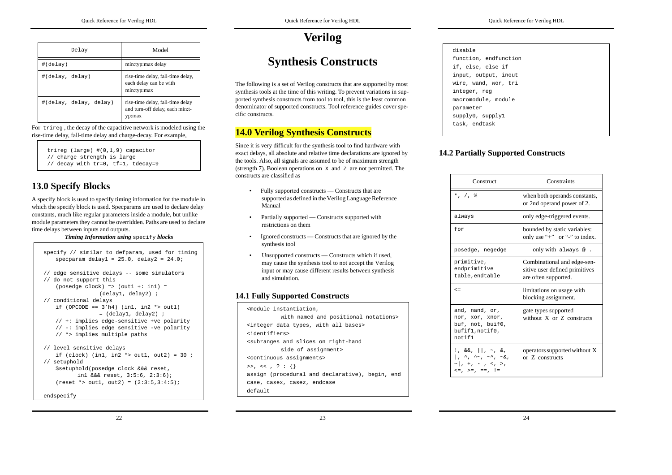| Delay                  | Model                                                                         |
|------------------------|-------------------------------------------------------------------------------|
| #(delay)               | min:typ:max delay                                                             |
| #(delay, delay)        | rise-time delay, fall-time delay,<br>each delay can be with<br>min:typ:max    |
| #(delay, delay, delay) | rise-time delay, fall-time delay<br>and turn-off delay, each min:t-<br>yp:max |

For trireg , the decay of the capacitive network is modeled using the rise-time delay, fall-time delay and charge-decay. For example,

trireg (large) #(0,1,9) capacitor // charge strength is large

// decay with tr=0, tf=1, tdecay=9

# **13.0 Specify Blocks**

A specify block is used to specify timing information for the module in which the specify block is used. Specparams are used to declare delay constants, much like regular parameters inside a module, but unlike module parameters they cannot be overridden. Paths are used to declare time delays between inputs and outputs.

*Timing Information using* specify *blocks*

```
specify // similar to defparam, used for timing
   specparam delay1 = 25.0, delay2 = 24.0;
// edge sensitive delays -- some simulators
// do not support this
   (posedge clock) => (out1 +: in1) =
                 (delay1, delay2) ;
// conditional delays
   if (OPCODE == 3'h4) (in1, in2 *> out1)
                = (delay1, delay2) ;
   // +: implies edge-sensitive +ve polarity
   // -: implies edge sensitive -ve polarity
   // *> implies multiple paths
// level sensitive delays
   if (clock) (in1, in2 *> out1, out2) = 30;
// setuphold
   $setuphold(posedge clock &&& reset,
          in1 &&& reset, 3:5:6, 2:3:6);
   (reset * > out1, out2) = (2:3:5,3:4:5);
```
endspecify

# **Verilog**

# **Synthesis Constructs**

The following is a set of Verilog constructs that are supported by most synthesis tools at the time of this writing. To prevent variations in supported synthesis constructs from tool to tool, this is the least common denominator of supported constructs. Tool reference guides cover specific constructs.

# **14.0 Verilog Synthesis Constructs**

Since it is very difficult for the synthesis tool to find hardware with exact delays, all absolute and relative time declarations are ignored by the tools. Also, all signals are assumed to be of maximum strength (strength 7). Boolean operations on <sup>X</sup> and <sup>Z</sup> are not permitted. The constructs are classified as

- Fully supported constructs Constructs that are supported as defined in the Verilog Language Reference Manual
- Partially supported Constructs supported with restrictions on them
- Ignored constructs Constructs that are ignored by the synthesis tool
- Unsupported constructs Constructs which if used, may cause the synthesis tool to not accept the Verilog input or may cause different results between synthesis and simulation.

# **14.1 Fully Supported Constructs**

| <module instantiation,<="" th=""></module>                          |
|---------------------------------------------------------------------|
| with named and positional notations>                                |
| <integer all="" bases="" data="" types,="" with=""></integer>       |
| sidentifiers>                                                       |
| <subranges and="" on="" right-hand<="" slices="" td=""></subranges> |
| side of assignment>                                                 |
| <continuous assignments=""></continuous>                            |
| >>, << , ? : {}                                                     |
| assign (procedural and declarative), begin, end                     |
| case, casex, casez, endcase                                         |
| defailt                                                             |

| disable               |
|-----------------------|
| function, endfunction |
| if, else, else if     |
| input, output, inout  |
| wire, wand, wor, tri  |
| integer, reg          |
| macromodule, module   |
| parameter             |
| supply0, supply1      |
| task, endtask         |
|                       |

# **14.2 Partially Supported Constructs**

| Construct                                                                                                                                                             | Constraints                                                                           |  |
|-----------------------------------------------------------------------------------------------------------------------------------------------------------------------|---------------------------------------------------------------------------------------|--|
| $*, / ,$ $*$                                                                                                                                                          | when both operands constants,<br>or 2nd operand power of 2.                           |  |
| always                                                                                                                                                                | only edge-triggered events.                                                           |  |
| for                                                                                                                                                                   | bounded by static variables:<br>only use "+" or "-" to index.                         |  |
| posedge, negedge                                                                                                                                                      | only with always $@.$                                                                 |  |
| primitive,<br>endprimitive<br>table.endtable                                                                                                                          | Combinational and edge-sen-<br>sitive user defined primitives<br>are often supported. |  |
| $\leq$ $=$                                                                                                                                                            | limitations on usage with<br>blocking assignment.                                     |  |
| and, nand, or,<br>nor, xor, xnor,<br>buf, not, buif0,<br>bufif1, notif0,<br>notif1                                                                                    | gate types supported<br>without $X$ or $Z$ constructs                                 |  |
| $!,\ \&\&,\ \mid\ \ ,\ \sim,\ \&\ ,$<br>$\left  \cdot, \cdot \right\rangle$ , $\sim$ , $\sim$ , $\sim$ &,<br>$\sim$   , +, - , <, >,<br>$\lt = , \gt = , =$ , $\lt =$ | operators supported without X<br>or Z constructs                                      |  |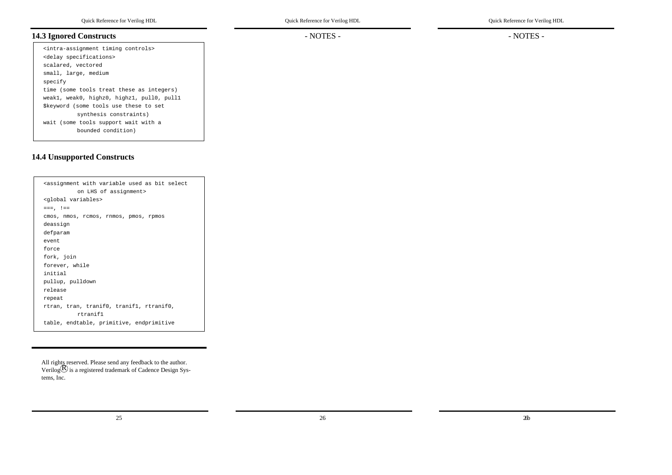# **14.3 Ignored Constructs**

<intra-assignment timing controls> <delay specifications> scalared, vectored small, large, medium specify time (some tools treat these as integers) weak1, weak0, highz0, highz1, pull0, pull1 \$keyword (some tools use these to set synthesis constraints) wait (some tools support wait with a bounded condition)

# **14.4 Unsupported Constructs**

| <assignment as="" bit="" select<="" th="" used="" variable="" with=""></assignment> |
|-------------------------------------------------------------------------------------|
| on LHS of assignment>                                                               |
| <qlobal variables=""></qlobal>                                                      |
| $==, \pm ==$                                                                        |
| cmos, nmos, rcmos, rnmos, pmos, rpmos                                               |
| deassign                                                                            |
| defparam                                                                            |
| event.                                                                              |
| force                                                                               |
| fork, join                                                                          |
| forever, while                                                                      |
| initial                                                                             |
| pullup, pulldown                                                                    |
| release                                                                             |
| repeat                                                                              |
| rtran, tran, tranif0, tranif1, rtranif0,                                            |
| rtranif1                                                                            |
| table, endtable, primitive, endprimitive                                            |

All rights reserved. Please send any feedback to the author. Verilog $\mathcal B$  is a registered trademark of Cadence Design Systems, Inc.

25

- NOTES -